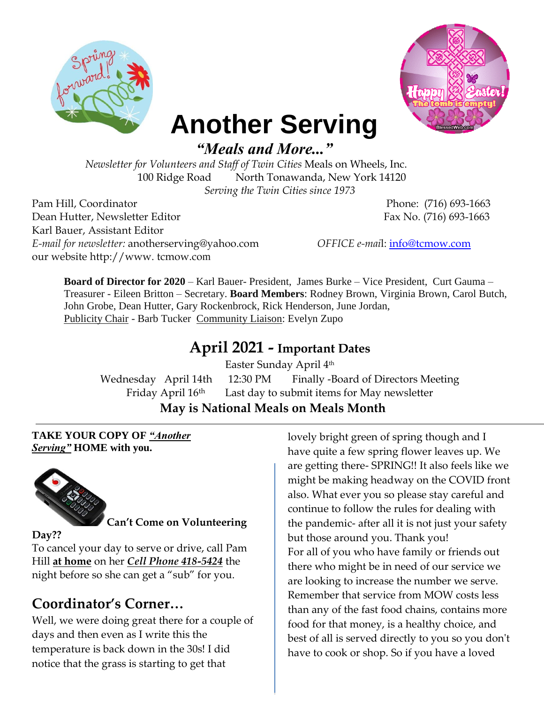



**Another Serving** 

 *"Meals and More..."* 

 *Newsletter for Volunteers and Staff of Twin Cities* Meals on Wheels, Inc. 100 Ridge Road North Tonawanda, New York 14120 *Serving the Twin Cities since 1973* 

Pam Hill, Coordinator Phone: (716) 693-1663 Dean Hutter, Newsletter Editor Fax No. (716) 693-1663 Karl Bauer, Assistant Editor *E-mail for newsletter:* anotherserving@yahoo.com *OFFICE e-mai*l: [info@tcmow.com](mailto:info@tcmow.com) our website http://www. tcmow.com

**Board of Director for 2020** – Karl Bauer- President, James Burke – Vice President, Curt Gauma – Treasurer - Eileen Britton – Secretary. **Board Members**: Rodney Brown, Virginia Brown, Carol Butch, John Grobe, Dean Hutter, Gary Rockenbrock, Rick Henderson, June Jordan, Publicity Chair - Barb Tucker Community Liaison: Evelyn Zupo

# **April 2021 - Important Dates**

Easter Sunday April 4 th Wednesday April 14th 12:30 PM Finally -Board of Directors Meeting Friday April 16<sup>th</sup> Last day to submit items for May newsletter

#### **May is National Meals on Meals Month**

#### **TAKE YOUR COPY OF** *"Another Serving"* **HOME with you.**



#### **Can't Come on Volunteering**

**Day??**

To cancel your day to serve or drive, call Pam Hill **at home** on her *Cell Phone 418-5424* the night before so she can get a "sub" for you.

# **Coordinator's Corner…**

Well, we were doing great there for a couple of days and then even as I write this the temperature is back down in the 30s! I did notice that the grass is starting to get that

lovely bright green of spring though and I have quite a few spring flower leaves up. We are getting there- SPRING!! It also feels like we might be making headway on the COVID front also. What ever you so please stay careful and continue to follow the rules for dealing with the pandemic- after all it is not just your safety but those around you. Thank you! For all of you who have family or friends out there who might be in need of our service we are looking to increase the number we serve. Remember that service from MOW costs less than any of the fast food chains, contains more food for that money, is a healthy choice, and best of all is served directly to you so you don't have to cook or shop. So if you have a loved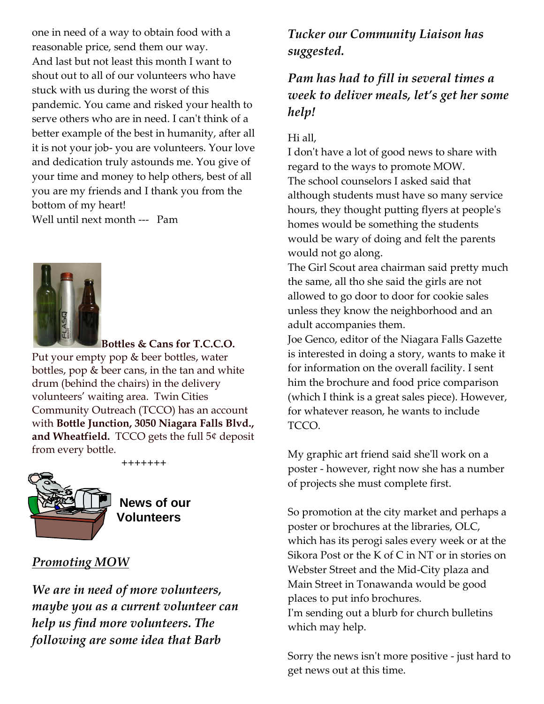one in need of a way to obtain food with a reasonable price, send them our way. And last but not least this month I want to shout out to all of our volunteers who have stuck with us during the worst of this pandemic. You came and risked your health to serve others who are in need. I can't think of a better example of the best in humanity, after all it is not your job- you are volunteers. Your love and dedication truly astounds me. You give of your time and money to help others, best of all you are my friends and I thank you from the bottom of my heart!

Well until next month --- Pam



**Bottles & Cans for T.C.C.O.**

Put your empty pop & beer bottles, water bottles, pop & beer cans, in the tan and white drum (behind the chairs) in the delivery volunteers' waiting area. Twin Cities Community Outreach (TCCO) has an account with **Bottle Junction, 3050 Niagara Falls Blvd., and Wheatfield.** TCCO gets the full 5¢ deposit from every bottle.

+++++++



**News of our Volunteers** 

# *Promoting MOW*

*We are in need of more volunteers, maybe you as a current volunteer can help us find more volunteers. The following are some idea that Barb* 

# *Tucker our Community Liaison has suggested.*

# *Pam has had to fill in several times a week to deliver meals, let's get her some help!*

#### Hi all,

I don't have a lot of good news to share with regard to the ways to promote MOW. The school counselors I asked said that although students must have so many service hours, they thought putting flyers at people's homes would be something the students would be wary of doing and felt the parents would not go along.

The Girl Scout area chairman said pretty much the same, all tho she said the girls are not allowed to go door to door for cookie sales unless they know the neighborhood and an adult accompanies them.

Joe Genco, editor of the Niagara Falls Gazette is interested in doing a story, wants to make it for information on the overall facility. I sent him the brochure and food price comparison (which I think is a great sales piece). However, for whatever reason, he wants to include TCCO.

My graphic art friend said she'll work on a poster - however, right now she has a number of projects she must complete first.

So promotion at the city market and perhaps a poster or brochures at the libraries, OLC, which has its perogi sales every week or at the Sikora Post or the K of C in NT or in stories on Webster Street and the Mid-City plaza and Main Street in Tonawanda would be good places to put info brochures. I'm sending out a blurb for church bulletins which may help.

Sorry the news isn't more positive - just hard to get news out at this time.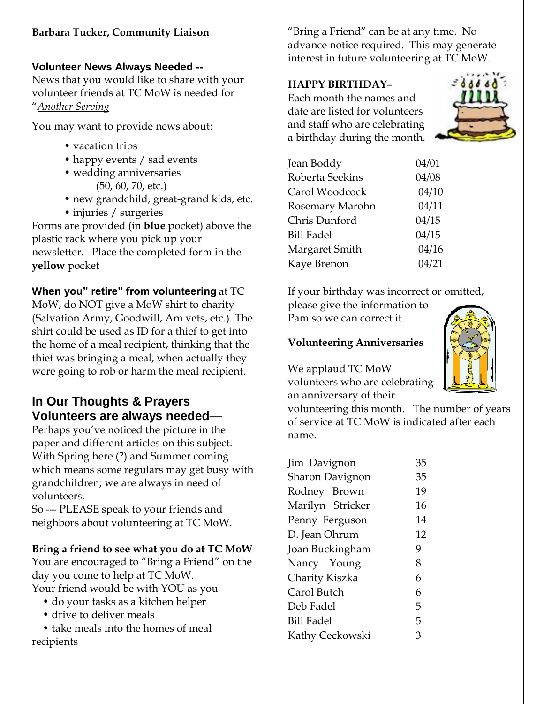#### **Barbara Tucker, Community Liaison**

#### **Volunteer News Always Needed --**

News that you would like to share with your volunteer friends at TC MoW is needed for "*Another Serving*

You may want to provide news about:

- vacation trips
- happy events / sad events
- wedding anniversaries (50, 60, 70, etc.)
- new grandchild, great-grand kids, etc.
- injuries / surgeries

Forms are provided (in **blue** pocket) above the plastic rack where you pick up your newsletter. Place the completed form in the **yellow** pocket

**When you" retire" from volunteering** at TC MoW, do NOT give a MoW shirt to charity (Salvation Army, Goodwill, Am vets, etc.). The shirt could be used as ID for a thief to get into the home of a meal recipient, thinking that the thief was bringing a meal, when actually they were going to rob or harm the meal recipient.

# **In Our Thoughts & Prayers Volunteers are always needed**—

Perhaps you've noticed the picture in the paper and different articles on this subject. With Spring here (?) and Summer coming which means some regulars may get busy with grandchildren; we are always in need of volunteers.

So --- PLEASE speak to your friends and neighbors about volunteering at TC MoW.

#### **Bring a friend to see what you do at TC MoW**

You are encouraged to "Bring a Friend" on the day you come to help at TC MoW. Your friend would be with YOU as you

- do your tasks as a kitchen helper
	-
- drive to deliver meals

 • take meals into the homes of meal recipients

"Bring a Friend" can be at any time. No advance notice required. This may generate interest in future volunteering at TC MoW.

#### **HAPPY BIRTHDAY**–

Each month the names and date are listed for volunteers and staff who are celebrating a birthday during the month.



| Jean Boddy      | 04/01 |
|-----------------|-------|
| Roberta Seekins | 04/08 |
| Carol Woodcock  | 04/10 |
| Rosemary Marohn | 04/11 |
| Chris Dunford   | 04/15 |
| Bill Fadel      | 04/15 |
| Margaret Smith  | 04/16 |
| Kaye Brenon     | 04/21 |
|                 |       |

If your birthday was incorrect or omitted,

please give the information to Pam so we can correct it.

#### **Volunteering Anniversaries**

We applaud TC MoW volunteers who are celebrating an anniversary of their



| Jim Davignon      | 35 |
|-------------------|----|
| Sharon Davignon   | 35 |
| Rodney Brown      | 19 |
| Marilyn Stricker  | 16 |
| Penny Ferguson    | 14 |
| D. Jean Ohrum     | 12 |
| Joan Buckingham   | 9  |
| Nancy Young       | 8  |
| Charity Kiszka    | 6  |
| Carol Butch       | 6  |
| Deb Fadel         | 5  |
| <b>Bill Fadel</b> | 5  |
| Kathy Ceckowski   | 3  |
|                   |    |

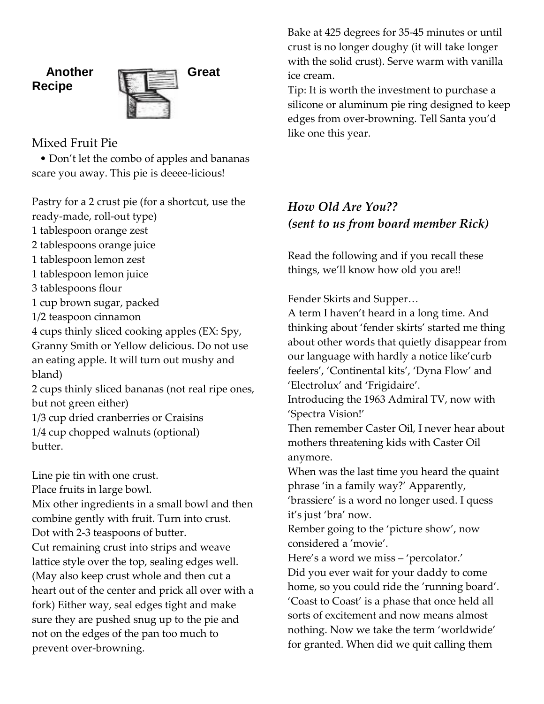**Recipe**



#### Mixed Fruit Pie

 • Don't let the combo of apples and bananas scare you away. This pie is deeee-licious!

Pastry for a 2 crust pie (for a shortcut, use the

ready-made, roll-out type)

1 tablespoon orange zest 2 tablespoons orange juice

- 1 tablespoon lemon zest
- 1 tablespoon lemon juice
- 3 tablespoons flour
- 1 cup brown sugar, packed

1/2 teaspoon cinnamon

4 cups thinly sliced cooking apples (EX: Spy, Granny Smith or Yellow delicious. Do not use an eating apple. It will turn out mushy and bland)

2 cups thinly sliced bananas (not real ripe ones, but not green either)

1/3 cup dried cranberries or Craisins 1/4 cup chopped walnuts (optional) butter.

Line pie tin with one crust.

Place fruits in large bowl.

Mix other ingredients in a small bowl and then combine gently with fruit. Turn into crust. Dot with 2-3 teaspoons of butter. Cut remaining crust into strips and weave lattice style over the top, sealing edges well. (May also keep crust whole and then cut a heart out of the center and prick all over with a fork) Either way, seal edges tight and make sure they are pushed snug up to the pie and not on the edges of the pan too much to prevent over-browning.

Bake at 425 degrees for 35-45 minutes or until crust is no longer doughy (it will take longer with the solid crust). Serve warm with vanilla ice cream.

Tip: It is worth the investment to purchase a silicone or aluminum pie ring designed to keep edges from over-browning. Tell Santa you'd like one this year.

# *How Old Are You?? (sent to us from board member Rick)*

Read the following and if you recall these things, we'll know how old you are!!

Fender Skirts and Supper…

A term I haven't heard in a long time. And thinking about 'fender skirts' started me thing about other words that quietly disappear from our language with hardly a notice like'curb feelers', 'Continental kits', 'Dyna Flow' and 'Electrolux' and 'Frigidaire'.

Introducing the 1963 Admiral TV, now with 'Spectra Vision!'

Then remember Caster Oil, I never hear about mothers threatening kids with Caster Oil anymore.

When was the last time you heard the quaint phrase 'in a family way?' Apparently, 'brassiere' is a word no longer used. I quess it's just 'bra' now.

Rember going to the 'picture show', now considered a 'movie'.

Here's a word we miss – 'percolator.' Did you ever wait for your daddy to come home, so you could ride the 'running board'. 'Coast to Coast' is a phase that once held all sorts of excitement and now means almost nothing. Now we take the term 'worldwide' for granted. When did we quit calling them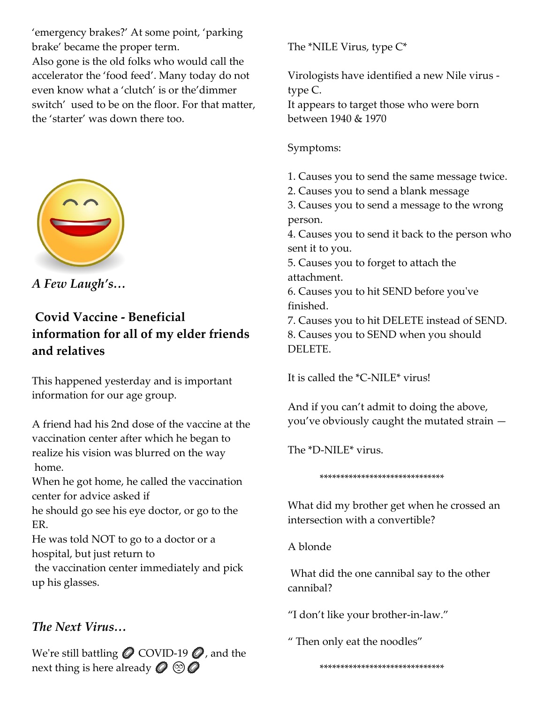'emergency brakes?' At some point, 'parking brake' became the proper term. Also gone is the old folks who would call the accelerator the 'food feed'. Many today do not even know what a 'clutch' is or the'dimmer switch' used to be on the floor. For that matter, the 'starter' was down there too.



*A Few Laugh's…*

# **Covid Vaccine - Beneficial information for all of my elder friends and relatives**

This happened yesterday and is important information for our age group.

A friend had his 2nd dose of the vaccine at the vaccination center after which he began to realize his vision was blurred on the way home.

When he got home, he called the vaccination center for advice asked if

he should go see his eye doctor, or go to the ER.

He was told NOT to go to a doctor or a hospital, but just return to

the vaccination center immediately and pick up his glasses.

# *The Next Virus…*

We're still battling  $\oslash$  COVID-19  $\oslash$ , and the next thing is here already  $\mathcal{O} \otimes \mathcal{O}$ 

The \*NILE Virus, type C\*

Virologists have identified a new Nile virus type C. It appears to target those who were born between 1940 & 1970

Symptoms:

- 1. Causes you to send the same message twice.
- 2. Causes you to send a blank message

3. Causes you to send a message to the wrong person.

4. Causes you to send it back to the person who sent it to you.

5. Causes you to forget to attach the attachment.

6. Causes you to hit SEND before you've finished.

7. Causes you to hit DELETE instead of SEND. 8. Causes you to SEND when you should DELETE.

It is called the \*C-NILE\* virus!

And if you can't admit to doing the above, you've obviously caught the mutated strain —

The \*D-NILE\* virus.

\*\*\*\*\*\*\*\*\*\*\*\*\*\*\*\*\*\*\*\*\*\*\*\*\*\*\*\*\*\*

What did my brother get when he crossed an intersection with a convertible?

A blonde

What did the one cannibal say to the other cannibal?

"I don't like your brother-in-law."

\*\*\*\*\*\*\*\*\*\*\*\*\*\*\*\*\*\*\*\*\*\*\*\*\*\*\*\*\*\*

" Then only eat the noodles"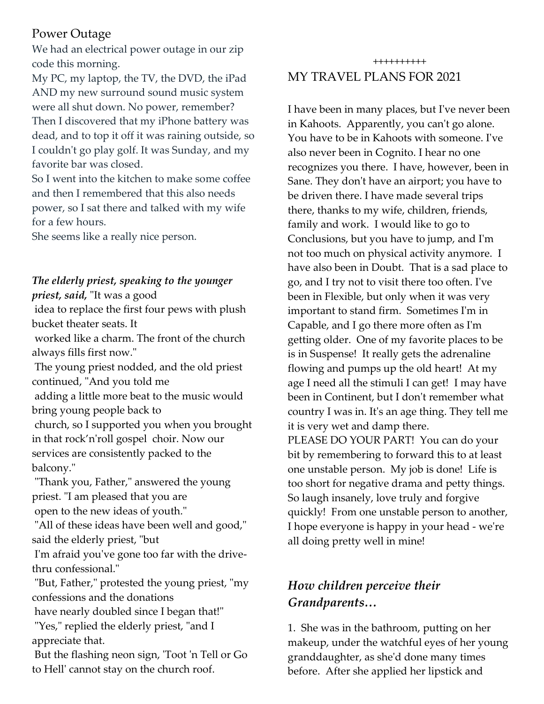#### Power Outage

We had an electrical power outage in our zip code this morning.

My PC, my laptop, the TV, the DVD, the iPad AND my new surround sound music system were all shut down. No power, remember? Then I discovered that my iPhone battery was dead, and to top it off it was raining outside, so I couldn't go play golf. It was Sunday, and my favorite bar was closed.

So I went into the kitchen to make some coffee and then I remembered that this also needs power, so I sat there and talked with my wife for a few hours.

She seems like a really nice person.

#### *The elderly priest, speaking to the younger priest, said,* "It was a good

idea to replace the first four pews with plush bucket theater seats. It

worked like a charm. The front of the church always fills first now."

The young priest nodded, and the old priest continued, "And you told me

adding a little more beat to the music would bring young people back to

church, so I supported you when you brought in that rock'n'roll gospel choir. Now our services are consistently packed to the balcony."

"Thank you, Father," answered the young priest. "I am pleased that you are open to the new ideas of youth."

"All of these ideas have been well and good," said the elderly priest, "but

I'm afraid you've gone too far with the drivethru confessional."

"But, Father," protested the young priest, "my confessions and the donations

have nearly doubled since I began that!" "Yes," replied the elderly priest, "and I appreciate that.

But the flashing neon sign, 'Toot 'n Tell or Go to Hell' cannot stay on the church roof.

#### ++++++++++ MY TRAVEL PLANS FOR 2021

I have been in many places, but I've never been in Kahoots. Apparently, you can't go alone. You have to be in Kahoots with someone. I've also never been in Cognito. I hear no one recognizes you there. I have, however, been in Sane. They don't have an airport; you have to be driven there. I have made several trips there, thanks to my wife, children, friends, family and work. I would like to go to Conclusions, but you have to jump, and I'm not too much on physical activity anymore. I have also been in Doubt. That is a sad place to go, and I try not to visit there too often. I've been in Flexible, but only when it was very important to stand firm. Sometimes I'm in Capable, and I go there more often as I'm getting older. One of my favorite places to be is in Suspense! It really gets the adrenaline flowing and pumps up the old heart! At my age I need all the stimuli I can get! I may have been in Continent, but I don't remember what country I was in. It's an age thing. They tell me it is very wet and damp there. PLEASE DO YOUR PART! You can do your bit by remembering to forward this to at least one unstable person. My job is done! Life is too short for negative drama and petty things. So laugh insanely, love truly and forgive quickly! From one unstable person to another, I hope everyone is happy in your head - we're all doing pretty well in mine!

# *How children perceive their Grandparents…*

1. She was in the bathroom, putting on her makeup, under the watchful eyes of her young granddaughter, as she'd done many times before. After she applied her lipstick and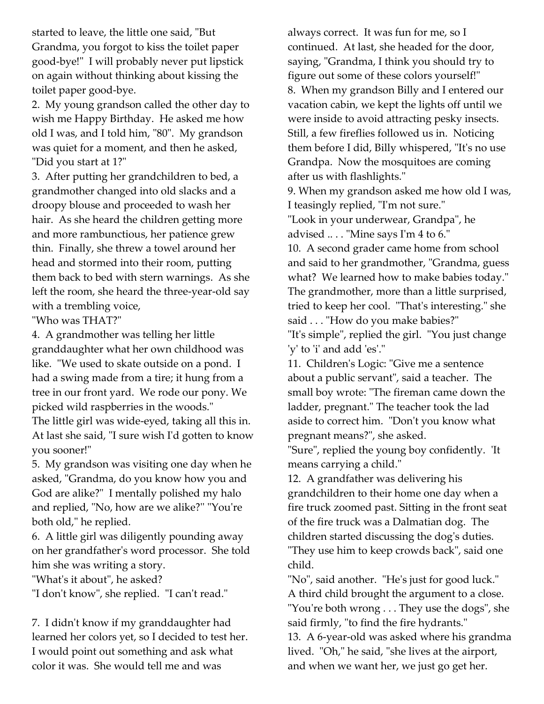started to leave, the little one said, "But Grandma, you forgot to kiss the toilet paper good-bye!" I will probably never put lipstick on again without thinking about kissing the toilet paper good-bye.

2. My young grandson called the other day to wish me Happy Birthday. He asked me how old I was, and I told him, "80". My grandson was quiet for a moment, and then he asked, "Did you start at 1?"

3. After putting her grandchildren to bed, a grandmother changed into old slacks and a droopy blouse and proceeded to wash her hair. As she heard the children getting more and more rambunctious, her patience grew thin. Finally, she threw a towel around her head and stormed into their room, putting them back to bed with stern warnings. As she left the room, she heard the three-year-old say with a trembling voice,

"Who was THAT?"

4. A grandmother was telling her little granddaughter what her own childhood was like. "We used to skate outside on a pond. I had a swing made from a tire; it hung from a tree in our front yard. We rode our pony. We picked wild raspberries in the woods."

The little girl was wide-eyed, taking all this in. At last she said, "I sure wish I'd gotten to know you sooner!"

5. My grandson was visiting one day when he asked, "Grandma, do you know how you and God are alike?" I mentally polished my halo and replied, "No, how are we alike?'' "You're both old," he replied.

6. A little girl was diligently pounding away on her grandfather's word processor. She told him she was writing a story.

"What's it about", he asked?

"I don't know", she replied. "I can't read."

7. I didn't know if my granddaughter had learned her colors yet, so I decided to test her. I would point out something and ask what color it was. She would tell me and was

always correct. It was fun for me, so I continued. At last, she headed for the door, saying, "Grandma, I think you should try to figure out some of these colors yourself!" 8. When my grandson Billy and I entered our vacation cabin, we kept the lights off until we were inside to avoid attracting pesky insects. Still, a few fireflies followed us in. Noticing them before I did, Billy whispered, "It's no use Grandpa. Now the mosquitoes are coming after us with flashlights."

9. When my grandson asked me how old I was, I teasingly replied, "I'm not sure."

"Look in your underwear, Grandpa", he advised .. . . "Mine says I'm 4 to 6."

10. A second grader came home from school and said to her grandmother, "Grandma, guess what? We learned how to make babies today." The grandmother, more than a little surprised, tried to keep her cool. "That's interesting." she said . . . "How do you make babies?" "It's simple", replied the girl. "You just change 'y' to 'i' and add 'es'."

11. Children's Logic: "Give me a sentence about a public servant", said a teacher. The small boy wrote: "The fireman came down the ladder, pregnant." The teacher took the lad aside to correct him. "Don't you know what pregnant means?", she asked.

"Sure", replied the young boy confidently. 'It means carrying a child."

12. A grandfather was delivering his grandchildren to their home one day when a fire truck zoomed past. Sitting in the front seat of the fire truck was a Dalmatian dog. The children started discussing the dog's duties. "They use him to keep crowds back", said one child.

"No", said another. "He's just for good luck." A third child brought the argument to a close. "You're both wrong . . . They use the dogs", she said firmly, "to find the fire hydrants." 13. A 6-year-old was asked where his grandma lived. "Oh," he said, "she lives at the airport, and when we want her, we just go get her.